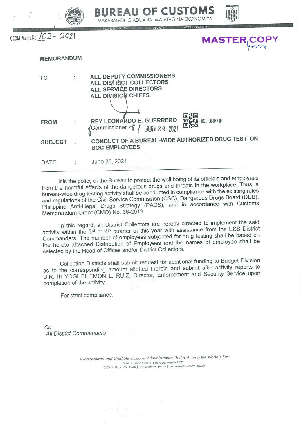



OCOM Memo No. 102 - 2021

| <b>IASTER COPY</b> |  |  |  |
|--------------------|--|--|--|
|                    |  |  |  |
|                    |  |  |  |

## **MEMORANDUM** ALL DEPUTY COMMISSIONERS **TO** ALL DISTRICT COLLECTORS ALL SERVICE DIRECTORS ALL DIVISION CHIEFS REY LEONARDO B. GUERRERO BOC-06-04780 **FROM** Commissioner  $\sqrt{2}$ **JUN 29 2021**

June 25, 2021

CONDUCT OF A BUREAU-WIDE AUTHORIZED DRUG TEST ON **SUBJECT BOC EMPLOYEES** 

DATE

It is the policy of the Bureau to protect the well being of its officials and employees from the harmful effects of the dangerous drugs and threats in the workplace. Thus, a bureau-wide drug testing activity shall be conducted in compliance with the existing rules and regulations of the Civil Service Commission (CSC), Dangerous Drugs Board (DDB), Philippine Anti-Illegal Drugs Strategy (PADS), and in accordance with Customs Memorandum Order (CMO) No. 36-2019.

In this regard, all District Collectors are hereby directed to implement the said activity within the 3rd or 4<sup>th</sup> quarter of this year with assistance from the ESS District Commanders. The number of employees subjected for drug testing shall be based on the hereto attached Distribution of Employees and the names of employee shall be selected by the Head of Offices and/or District Collectors.

Collection Districts shall submit request for additional funding to Budget Division as to the corresponding amount allotted therein and submit after-activity reports to DIR. III YOGI FILEMON L. RUIZ, Director, Enforcement and Security Service upon completion of the activity.

For strict compliance.

 $Cc$ : **All District Commanders** 

> A Modernized and Credible Customs Administration That is Among the World's Best South Harbor, Gate 3, Port Area, Manila 1099 8527-4537, 8527-1935 | www.customs.gov.ph | boc.cares@customs.gov.ph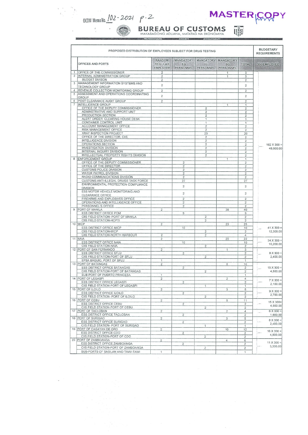

 $\frac{t}{t}$ 



 $\mathbb{Q}_p^{\mathbb{Z}}$ **BUREAU OF CUSTOMS**<br>MAKABAGONG ADUANA, MATATAG NA EKONOMIYA

|                | PROPOSED DISTRIBUTION OF EMPLOYEES SUBJECT FOR DRUG TESTING              |                                                    |                                                 |                                             |                                            |                                  | <b>BUDGETARY</b><br><b>REQUIREMENTS</b> |
|----------------|--------------------------------------------------------------------------|----------------------------------------------------|-------------------------------------------------|---------------------------------------------|--------------------------------------------|----------------------------------|-----------------------------------------|
|                | OFFICES AND PORTS                                                        | <b>RANDOM</b><br><b>REGULAR</b><br><b>EMPLOYEE</b> | <b>MANDATORY</b><br>EG <sub></sub><br>PERSONNEL | <b>MANDATORY</b><br>IG.<br><b>PERSONNEL</b> | <b>MANDATORY</b><br><b>SG</b><br>PERSONNEL | <b>TOTAL</b>                     | 300/EMPLOYEE                            |
| $\mathbf{1}$   | <b>OFFICE OF THE COMMISSIONER</b>                                        | 2                                                  |                                                 |                                             | $\mathbf{1}$                               | 3                                |                                         |
| 2              | INTERNAL ADMINISTRATION GROUP                                            | 2                                                  |                                                 |                                             | 1                                          | 3                                |                                         |
| 3              | <b>BUDGET DIVISON</b><br>MANAGEMENT INFORMATION SYSTEMS AND              | 2                                                  |                                                 |                                             |                                            | $\overline{2}$                   |                                         |
|                | TECHNOLOGY GROUP                                                         | $\overline{\mathbf{c}}$                            |                                                 |                                             |                                            | $\overline{2}$                   |                                         |
|                | 4 REVENUE COLLECTION MONITORING GROUP                                    | $\overline{2}$                                     |                                                 |                                             |                                            | $\overline{2}$                   |                                         |
| 5              | ASSESSMENT AND OPERATIONS COORDINATING                                   | $\overline{2}$                                     |                                                 |                                             |                                            | $\overline{2}$                   |                                         |
|                | <b>GROUP</b>                                                             |                                                    |                                                 |                                             |                                            |                                  |                                         |
| $\overline{7}$ | 6 POST CLEARANCE AUDIT GROUP<br><b>INTELLIGENCE GROUP</b>                | $\overline{2}$                                     |                                                 |                                             |                                            | $\overline{2}$                   |                                         |
|                | OFFICE OF THE DEPUTY COMMISSIONER                                        |                                                    |                                                 | $\overline{c}$                              | $\mathbf{1}$                               | $\mathbf{1}$<br>$\overline{2}$   |                                         |
|                | ADMINSTRATIVE AND SUPPORT UNIT                                           |                                                    |                                                 | $\overline{c}$                              |                                            | $\overline{c}$                   |                                         |
|                | PRODUCTION SECTION                                                       |                                                    |                                                 | $\overline{c}$                              |                                            | $\overline{c}$                   |                                         |
|                | ALERT ORDER CLEARING HOUSE DESK                                          |                                                    |                                                 | 1                                           |                                            | 1                                |                                         |
|                | CONTAINER CONTROL UNIT                                                   |                                                    |                                                 | $\overline{1}$                              |                                            | 1                                |                                         |
|                | ACCOUNT MANAGEMENT OFFICE<br>RISK MANAGEMENT OFFICE                      |                                                    |                                                 | $\overline{2}$<br>$\overline{2}$            |                                            | $\overline{2}$<br>$\overline{c}$ |                                         |
|                | <b>XRAY INSPECTION PROJECT</b>                                           |                                                    |                                                 | 20                                          |                                            | 20                               |                                         |
|                | OFFICE OF THE DIRECTOR, CIIS                                             |                                                    |                                                 | $\overline{c}$                              |                                            | $\overline{\mathbf{c}}$          |                                         |
|                | INTELLIGENCE DIVISION                                                    |                                                    |                                                 | $\overline{2}$                              |                                            | $\overline{c}$                   |                                         |
|                | OPERATIONS SECTION                                                       |                                                    |                                                 | $\overline{2}$                              |                                            | $\overline{c}$                   | $162$ X 300 =                           |
|                | <b>INVESTIGATION DIVISION</b><br>INTERNAL INQUIRY DIVISION               |                                                    |                                                 | $\overline{2}$                              |                                            | $\overline{c}$                   | 48,600.00                               |
|                | INTELLECTUAL PROPERTY RIGHTS DIVISION                                    |                                                    |                                                 | $\overline{2}$<br>2                         |                                            | $\overline{2}$                   |                                         |
|                | 8 ENFORCEMENT GROUP                                                      |                                                    |                                                 |                                             | 1                                          | 2<br>1                           |                                         |
|                | OFFICE OF THE DEPUTY COMMISSIONER                                        |                                                    | $\overline{c}$                                  |                                             |                                            | $\overline{c}$                   |                                         |
|                | OFFICE OF THE DIRECTOR                                                   |                                                    | $\overline{\mathbf{c}}$                         |                                             |                                            | $\overline{2}$                   |                                         |
|                | <b>CUSTOMS POLICE DIVISION</b>                                           |                                                    | $\overline{c}$                                  |                                             |                                            | $\overline{\mathbf{c}}$          |                                         |
|                | WATER PATROL DIVISION                                                    |                                                    | $\overline{c}$                                  |                                             |                                            | $\overline{2}$                   |                                         |
|                | RADIO COMMUNICATIONS DIVISION<br>CUSTOMS ANTI-ILLEGAL DRUGS TASK FORCE   |                                                    | $\overline{c}$                                  |                                             |                                            | $\overline{2}$<br>27             |                                         |
|                | ENVIRONMENTAL PROTECTION COMPLIANCE                                      |                                                    | 27                                              |                                             |                                            |                                  |                                         |
|                | <b>DIVISION</b>                                                          |                                                    | $\overline{2}$                                  |                                             |                                            | $\overline{2}$                   |                                         |
|                | ESS MOTOR VEHICLE MONITORING AND                                         |                                                    | $\overline{c}$                                  |                                             |                                            | $\overline{2}$                   |                                         |
|                | CLEARANCE OFFICE                                                         |                                                    |                                                 |                                             |                                            |                                  |                                         |
|                | FIREARMS AND EXPLOSIVES OFFICE                                           | $\overline{c}$<br>$\overline{c}$                   |                                                 | $\overline{2}$                              |                                            |                                  |                                         |
|                | OPERATIONS AND INTELLIGENCE OFFICE<br>PERSONNEL'S OFFICE                 |                                                    | $\overline{\mathbf{c}}$                         |                                             |                                            | $\overline{2}$<br>$\overline{2}$ |                                         |
| $\Omega$       | <b>PORT OF MANILA</b>                                                    | 2                                                  |                                                 |                                             | 38                                         | 40                               |                                         |
|                | ESS DISTRICT OFFICE POM                                                  |                                                    | 9                                               |                                             |                                            | $\mathsf g$                      |                                         |
|                | CIIS FIELD STATION- PORT OF MANILA                                       |                                                    |                                                 | $\overline{c}$                              |                                            | $\overline{c}$                   |                                         |
|                | CIIS FIELD STATION-HCPTI                                                 |                                                    |                                                 | $\overline{c}$                              |                                            | $\overline{2}$                   |                                         |
|                | 10 MICP                                                                  | $\overline{\mathbf{c}}$                            |                                                 |                                             | 23                                         | 25                               |                                         |
|                | ESS DISTRICT OFFICE MICP<br>CIIS FIELD STATION-MICP                      |                                                    | 10                                              | $\overline{c}$                              |                                            | 10<br>$\overline{2}$             | $41 X 300 =$<br>12,300.00               |
|                | CIIS FIELD STATION-NORTH HARBOUR                                         | $\overline{2}$                                     |                                                 | $\overline{\mathbf{c}}$                     |                                            | 4                                |                                         |
|                | 11 NAIA                                                                  | $\overline{c}$                                     |                                                 |                                             | 20                                         | 22                               |                                         |
|                | ESS DISTRICT OFFICE NAIA                                                 |                                                    | 10                                              |                                             |                                            | 10                               | $34 X 300 =$<br>10,200.00               |
|                | CIIS FIELD STATION-NAIA                                                  |                                                    |                                                 | $\overline{c}$                              |                                            | $\sqrt{2}$                       |                                         |
|                | 12 PORT OF SAN FERNANDO                                                  | $\overline{\mathbf{c}}$                            |                                                 |                                             | 1                                          | 3                                |                                         |
|                | <b>ESS DISTRICT OFFICE SFLU</b><br>CIIS FIELD STATION-PORT OF SFLU       |                                                    | $\overline{c}$                                  | $\overline{c}$                              |                                            | $\overline{\mathbf{c}}$          | $8 X 300 =$<br>2,400.00                 |
|                | EPSA BAGUIO, PORT OF SFLU                                                | 1                                                  |                                                 |                                             |                                            | $\overline{c}$<br>1              |                                         |
|                | 13 PORT OF BATANGAS                                                      | 2                                                  |                                                 |                                             | 8                                          | 10                               |                                         |
|                | <b>ESS DISTRICT OFFICE BATANGAS</b>                                      |                                                    | $\overline{2}$                                  |                                             |                                            | $\overline{c}$                   | $15 X 300 =$                            |
|                | CIIS FIELD STATION-PORT OF BATANGAS                                      |                                                    |                                                 | $\overline{c}$                              |                                            | $\overline{c}$                   | 4,500.00                                |
|                | SUB-PORT OF PUERTO PRINCESA                                              | 1                                                  |                                                 |                                             |                                            | 1                                |                                         |
|                | 14 PORT OF LEGASPI                                                       | 2                                                  |                                                 |                                             | $\overline{2}$                             | 4                                | $7 X 300 =$                             |
|                | <b>ESS DISTRICT OFFICE LEGASPI</b><br>CIIS FIELD STATION-PORT OF LEGASPI |                                                    | $\overline{\mathbf{c}}$                         | $\mathbf{1}$                                |                                            | $\overline{c}$<br>1              | 2,100.00                                |
|                | 15 PORT OF ILOILO                                                        | $\overline{c}$                                     |                                                 |                                             | 3                                          | 5                                |                                         |
|                | <b>ESS DISTRICT OFFICE ILOILO</b>                                        |                                                    | $\overline{2}$                                  |                                             |                                            | $\overline{2}$                   | $9 X 300 =$                             |
|                | CIIS FIELD STATION- PORT OF ILOILO                                       |                                                    |                                                 | $\overline{2}$                              |                                            | $\overline{c}$                   | 2,700.00                                |
|                | 16 PORT OF CEBU                                                          | $\overline{c}$                                     |                                                 |                                             | $\mathsf{G}$                               | 11                               | 15 X 300=                               |
|                | <b>ESS DISTRICT OFFICE CEBU</b>                                          |                                                    | $\overline{c}$                                  |                                             |                                            | $\overline{c}$                   | 4,500.00                                |
|                | CIIS FIELD STATION-PORT OF CEBU                                          |                                                    |                                                 | $\overline{2}$                              |                                            | $\overline{c}$                   |                                         |
|                | 17 PORT OF TACLOBAN<br>ESS DISTRICT OFFICE TACLOBAN                      | $\overline{2}$                                     | $\overline{c}$                                  |                                             | $\overline{2}$                             | 4<br>$\overline{c}$              | $6 \times 300 =$                        |
|                | 18 PORT OF SURIGAO                                                       | $\overline{c}$                                     |                                                 |                                             | 3                                          | 5                                | 1,800.00                                |
|                | ESS DISTRICT OFFICE SURIGAO                                              |                                                    | $\overline{2}$                                  |                                             |                                            | $\overline{2}$                   | $8 X 300 =$                             |
|                | CIIS FIELD STATION- PORT OF SURIGAO                                      |                                                    |                                                 | $\mathbf{1}$                                |                                            | $\mathbf{1}$                     | 2,400.00                                |
|                | 19 PORT OF CAGAYAN DE ORO                                                | $\overline{c}$                                     |                                                 |                                             | 10                                         | 12                               | $16 \times 300 =$                       |
|                | ESS DISTRICT OFFICE CDO                                                  |                                                    | $\mathbf{2}$                                    |                                             |                                            | 2                                | 4,800.00                                |
|                | CIIS FIELD STATION-PORT OF CDO                                           |                                                    |                                                 | $\overline{2}$                              |                                            | 2                                |                                         |
|                | 20   PORT OF ZAMBOANGA<br>ESS DISTRICT OFFICE ZAMBOANGA                  | $\overline{2}$                                     | $\overline{\mathbf{c}}$                         |                                             | 4                                          | 6<br>$\overline{\mathbf{c}}$     | $11 X 300 =$                            |
|                | CIIS FIELD STATION-PORT OF ZAMBOANGA                                     |                                                    |                                                 | 2                                           |                                            | $\overline{c}$                   | 3,300.00                                |
|                | SUB-PORTS OF BASILAN AND TAWI-TAWI                                       | 1                                                  |                                                 |                                             |                                            | $\mathbf{1}$                     |                                         |
|                |                                                                          |                                                    |                                                 |                                             |                                            |                                  |                                         |